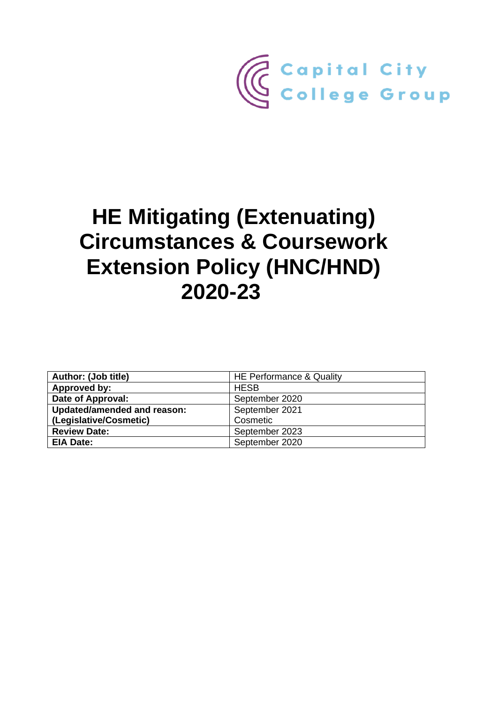

# **HE Mitigating (Extenuating) Circumstances & Coursework Extension Policy (HNC/HND) 2020-23**

| Author: (Job title)         | HE Performance & Quality |  |
|-----------------------------|--------------------------|--|
| Approved by:                | <b>HESB</b>              |  |
| Date of Approval:           | September 2020           |  |
| Updated/amended and reason: | September 2021           |  |
| (Legislative/Cosmetic)      | Cosmetic                 |  |
| <b>Review Date:</b>         | September 2023           |  |
| EIA Date:                   | September 2020           |  |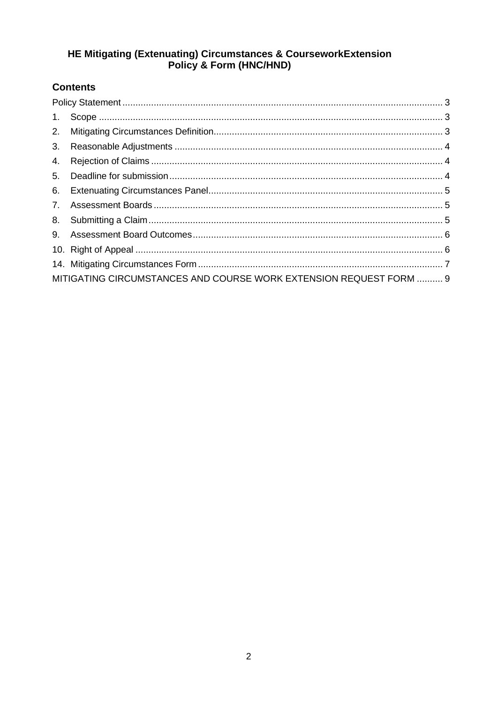# HE Mitigating (Extenuating) Circumstances & CourseworkExtension<br>Policy & Form (HNC/HND)

# **Contents**

| $1_{\cdot}$ |                                                                    |  |
|-------------|--------------------------------------------------------------------|--|
| 2.          |                                                                    |  |
| 3.          |                                                                    |  |
| 4.          |                                                                    |  |
| 5.          |                                                                    |  |
| 6.          |                                                                    |  |
| 7.          |                                                                    |  |
| 8.          |                                                                    |  |
| 9.          |                                                                    |  |
|             |                                                                    |  |
|             |                                                                    |  |
|             | MITIGATING CIRCUMSTANCES AND COURSE WORK EXTENSION REQUEST FORM  9 |  |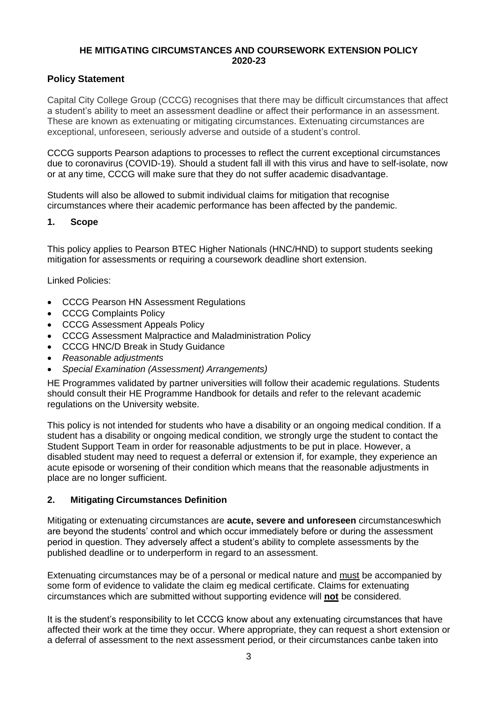#### **HE MITIGATING CIRCUMSTANCES AND COURSEWORK EXTENSION POLICY 2020-23**

#### <span id="page-2-0"></span>**Policy Statement**

Capital City College Group (CCCG) recognises that there may be difficult circumstances that affect a student's ability to meet an assessment deadline or affect their performance in an assessment. These are known as extenuating or mitigating circumstances. Extenuating circumstances are exceptional, unforeseen, seriously adverse and outside of a student's control.

CCCG supports Pearson adaptions to processes to reflect the current exceptional circumstances due to coronavirus (COVID-19). Should a student fall ill with this virus and have to self-isolate, now or at any time, CCCG will make sure that they do not suffer academic disadvantage.

Students will also be allowed to submit individual claims for mitigation that recognise circumstances where their academic performance has been affected by the pandemic.

#### <span id="page-2-1"></span>**1. Scope**

This policy applies to Pearson BTEC Higher Nationals (HNC/HND) to support students seeking mitigation for assessments or requiring a coursework deadline short extension.

Linked Policies:

- CCCG Pearson HN Assessment Regulations
- CCCG Complaints Policy
- CCCG Assessment Appeals Policy
- CCCG Assessment Malpractice and Maladministration Policy
- CCCG HNC/D Break in Study Guidance
- *Reasonable adjustments*
- *Special Examination (Assessment) Arrangements)*

HE Programmes validated by partner universities will follow their academic regulations. Students should consult their HE Programme Handbook for details and refer to the relevant academic regulations on the University website.

This policy is not intended for students who have a disability or an ongoing medical condition. If a student has a disability or ongoing medical condition, we strongly urge the student to contact the Student Support Team in order for reasonable adjustments to be put in place. However, a disabled student may need to request a deferral or extension if, for example, they experience an acute episode or worsening of their condition which means that the reasonable adjustments in place are no longer sufficient.

#### <span id="page-2-2"></span>**2. Mitigating Circumstances Definition**

Mitigating or extenuating circumstances are **acute, severe and unforeseen** circumstanceswhich are beyond the students' control and which occur immediately before or during the assessment period in question. They adversely affect a student's ability to complete assessments by the published deadline or to underperform in regard to an assessment.

Extenuating circumstances may be of a personal or medical nature and must be accompanied by some form of evidence to validate the claim eg medical certificate. Claims for extenuating circumstances which are submitted without supporting evidence will **not** be considered.

It is the student's responsibility to let CCCG know about any extenuating circumstances that have affected their work at the time they occur. Where appropriate, they can request a short extension or a deferral of assessment to the next assessment period, or their circumstances canbe taken into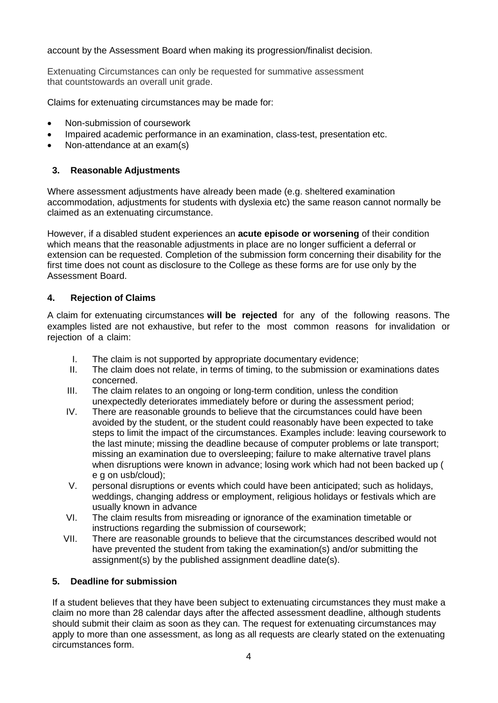#### account by the Assessment Board when making its progression/finalist decision.

Extenuating Circumstances can only be requested for summative assessment that countstowards an overall unit grade.

Claims for extenuating circumstances may be made for:

- Non-submission of coursework
- Impaired academic performance in an examination, class-test, presentation etc.
- Non-attendance at an exam(s)

#### <span id="page-3-0"></span>**3. Reasonable Adjustments**

Where assessment adjustments have already been made (e.g. sheltered examination accommodation, adjustments for students with dyslexia etc) the same reason cannot normally be claimed as an extenuating circumstance.

However, if a disabled student experiences an **acute episode or worsening** of their condition which means that the reasonable adjustments in place are no longer sufficient a deferral or extension can be requested. Completion of the submission form concerning their disability for the first time does not count as disclosure to the College as these forms are for use only by the Assessment Board.

#### <span id="page-3-1"></span>**4. Rejection of Claims**

A claim for extenuating circumstances **will be rejected** for any of the following reasons. The examples listed are not exhaustive, but refer to the most common reasons for invalidation or rejection of a claim:

- I. The claim is not supported by appropriate documentary evidence;<br>II. The claim does not relate, in terms of timing, to the submission or
- The claim does not relate, in terms of timing, to the submission or examinations dates concerned.
- III. The claim relates to an ongoing or long-term condition, unless the condition unexpectedly deteriorates immediately before or during the assessment period;
- IV. There are reasonable grounds to believe that the circumstances could have been avoided by the student, or the student could reasonably have been expected to take steps to limit the impact of the circumstances. Examples include: leaving coursework to the last minute; missing the deadline because of computer problems or late transport; missing an examination due to oversleeping; failure to make alternative travel plans when disruptions were known in advance; losing work which had not been backed up ( e g on usb/cloud);
- V. personal disruptions or events which could have been anticipated; such as holidays, weddings, changing address or employment, religious holidays or festivals which are usually known in advance
- VI. The claim results from misreading or ignorance of the examination timetable or instructions regarding the submission of coursework;
- VII. There are reasonable grounds to believe that the circumstances described would not have prevented the student from taking the examination(s) and/or submitting the assignment(s) by the published assignment deadline date(s).

#### <span id="page-3-2"></span>**5. Deadline for submission**

If a student believes that they have been subject to extenuating circumstances they must make a claim no more than 28 calendar days after the affected assessment deadline, although students should submit their claim as soon as they can. The request for extenuating circumstances may apply to more than one assessment, as long as all requests are clearly stated on the extenuating circumstances form.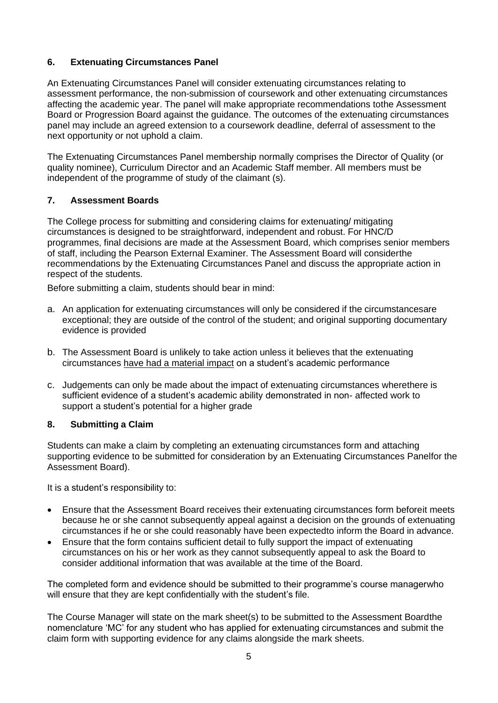#### <span id="page-4-0"></span>**6. Extenuating Circumstances Panel**

An Extenuating Circumstances Panel will consider extenuating circumstances relating to assessment performance, the non-submission of coursework and other extenuating circumstances affecting the academic year. The panel will make appropriate recommendations tothe Assessment Board or Progression Board against the guidance. The outcomes of the extenuating circumstances panel may include an agreed extension to a coursework deadline, deferral of assessment to the next opportunity or not uphold a claim.

The Extenuating Circumstances Panel membership normally comprises the Director of Quality (or quality nominee), Curriculum Director and an Academic Staff member. All members must be independent of the programme of study of the claimant (s).

#### <span id="page-4-1"></span>**7. Assessment Boards**

The College process for submitting and considering claims for extenuating/ mitigating circumstances is designed to be straightforward, independent and robust. For HNC/D programmes, final decisions are made at the Assessment Board, which comprises senior members of staff, including the Pearson External Examiner. The Assessment Board will considerthe recommendations by the Extenuating Circumstances Panel and discuss the appropriate action in respect of the students.

Before submitting a claim, students should bear in mind:

- a. An application for extenuating circumstances will only be considered if the circumstancesare exceptional; they are outside of the control of the student; and original supporting documentary evidence is provided
- b. The Assessment Board is unlikely to take action unless it believes that the extenuating circumstances have had a material impact on a student's academic performance
- c. Judgements can only be made about the impact of extenuating circumstances wherethere is sufficient evidence of a student's academic ability demonstrated in non- affected work to support a student's potential for a higher grade

#### <span id="page-4-2"></span>**8. Submitting a Claim**

Students can make a claim by completing an extenuating circumstances form and attaching supporting evidence to be submitted for consideration by an Extenuating Circumstances Panelfor the Assessment Board).

It is a student's responsibility to:

- Ensure that the Assessment Board receives their extenuating circumstances form beforeit meets because he or she cannot subsequently appeal against a decision on the grounds of extenuating circumstances if he or she could reasonably have been expectedto inform the Board in advance.
- Ensure that the form contains sufficient detail to fully support the impact of extenuating circumstances on his or her work as they cannot subsequently appeal to ask the Board to consider additional information that was available at the time of the Board.

The completed form and evidence should be submitted to their programme's course managerwho will ensure that they are kept confidentially with the student's file.

The Course Manager will state on the mark sheet(s) to be submitted to the Assessment Boardthe nomenclature 'MC' for any student who has applied for extenuating circumstances and submit the claim form with supporting evidence for any claims alongside the mark sheets.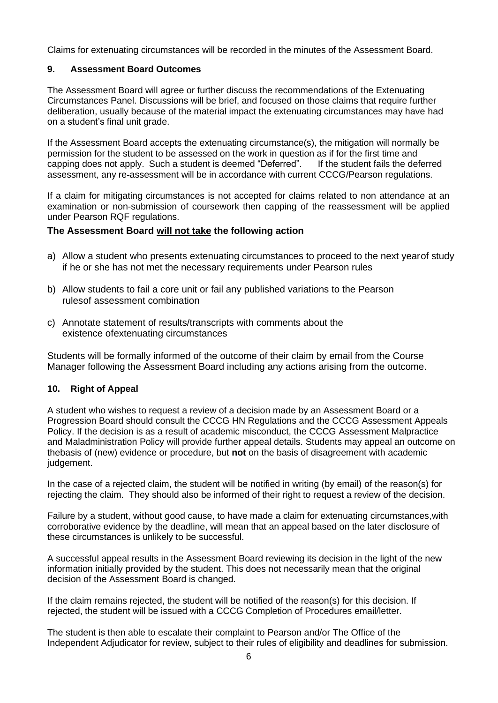Claims for extenuating circumstances will be recorded in the minutes of the Assessment Board.

#### <span id="page-5-0"></span>**9. Assessment Board Outcomes**

The Assessment Board will agree or further discuss the recommendations of the Extenuating Circumstances Panel. Discussions will be brief, and focused on those claims that require further deliberation, usually because of the material impact the extenuating circumstances may have had on a student's final unit grade.

If the Assessment Board accepts the extenuating circumstance(s), the mitigation will normally be permission for the student to be assessed on the work in question as if for the first time and capping does not apply. Such a student is deemed "Deferred". If the student fails the deferred assessment, any re-assessment will be in accordance with current CCCG/Pearson regulations.

If a claim for mitigating circumstances is not accepted for claims related to non attendance at an examination or non-submission of coursework then capping of the reassessment will be applied under Pearson RQF regulations.

#### **The Assessment Board will not take the following action**

- a) Allow a student who presents extenuating circumstances to proceed to the next yearof study if he or she has not met the necessary requirements under Pearson rules
- b) Allow students to fail a core unit or fail any published variations to the Pearson rulesof assessment combination
- c) Annotate statement of results/transcripts with comments about the existence ofextenuating circumstances

Students will be formally informed of the outcome of their claim by email from the Course Manager following the Assessment Board including any actions arising from the outcome.

#### <span id="page-5-1"></span>**10. Right of Appeal**

A student who wishes to request a review of a decision made by an Assessment Board or a Progression Board should consult the CCCG HN Regulations and the CCCG Assessment Appeals Policy. If the decision is as a result of academic misconduct, the CCCG Assessment Malpractice and Maladministration Policy will provide further appeal details. Students may appeal an outcome on thebasis of (new) evidence or procedure, but **not** on the basis of disagreement with academic judgement.

In the case of a rejected claim, the student will be notified in writing (by email) of the reason(s) for rejecting the claim. They should also be informed of their right to request a review of the decision.

Failure by a student, without good cause, to have made a claim for extenuating circumstances,with corroborative evidence by the deadline, will mean that an appeal based on the later disclosure of these circumstances is unlikely to be successful.

A successful appeal results in the Assessment Board reviewing its decision in the light of the new information initially provided by the student. This does not necessarily mean that the original decision of the Assessment Board is changed.

If the claim remains rejected, the student will be notified of the reason(s) for this decision. If rejected, the student will be issued with a CCCG Completion of Procedures email/letter.

The student is then able to escalate their complaint to Pearson and/or The Office of the Independent Adjudicator for review, subject to their rules of eligibility and deadlines for submission.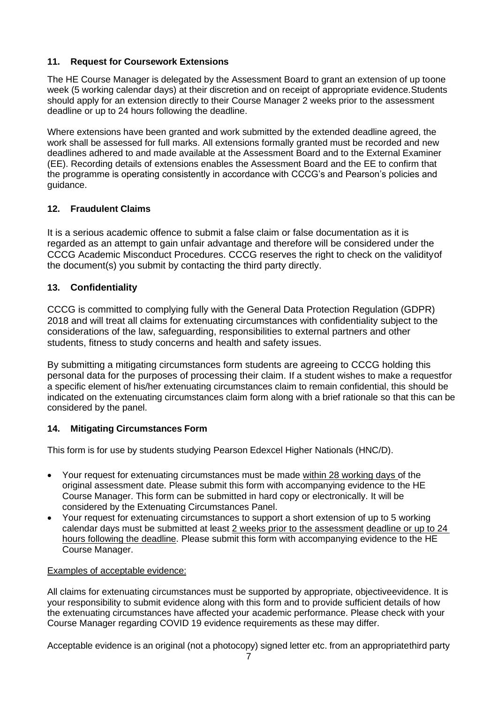# **11. Request for Coursework Extensions**

The HE Course Manager is delegated by the Assessment Board to grant an extension of up toone week (5 working calendar days) at their discretion and on receipt of appropriate evidence.Students should apply for an extension directly to their Course Manager 2 weeks prior to the assessment deadline or up to 24 hours following the deadline.

Where extensions have been granted and work submitted by the extended deadline agreed, the work shall be assessed for full marks. All extensions formally granted must be recorded and new deadlines adhered to and made available at the Assessment Board and to the External Examiner (EE). Recording details of extensions enables the Assessment Board and the EE to confirm that the programme is operating consistently in accordance with CCCG's and Pearson's policies and guidance.

# **12. Fraudulent Claims**

It is a serious academic offence to submit a false claim or false documentation as it is regarded as an attempt to gain unfair advantage and therefore will be considered under the CCCG Academic Misconduct Procedures. CCCG reserves the right to check on the validityof the document(s) you submit by contacting the third party directly.

# **13. Confidentiality**

CCCG is committed to complying fully with the General Data Protection Regulation (GDPR) 2018 and will treat all claims for extenuating circumstances with confidentiality subject to the considerations of the law, safeguarding, responsibilities to external partners and other students, fitness to study concerns and health and safety issues.

By submitting a mitigating circumstances form students are agreeing to CCCG holding this personal data for the purposes of processing their claim. If a student wishes to make a requestfor a specific element of his/her extenuating circumstances claim to remain confidential, this should be indicated on the extenuating circumstances claim form along with a brief rationale so that this can be considered by the panel.

#### <span id="page-6-0"></span>**14. Mitigating Circumstances Form**

This form is for use by students studying Pearson Edexcel Higher Nationals (HNC/D).

- Your request for extenuating circumstances must be made within 28 working days of the original assessment date. Please submit this form with accompanying evidence to the HE Course Manager. This form can be submitted in hard copy or electronically. It will be considered by the Extenuating Circumstances Panel.
- Your request for extenuating circumstances to support a short extension of up to 5 working calendar days must be submitted at least 2 weeks prior to the assessment deadline or up to 24 hours following the deadline. Please submit this form with accompanying evidence to the HE Course Manager.

#### Examples of acceptable evidence:

All claims for extenuating circumstances must be supported by appropriate, objectiveevidence. It is your responsibility to submit evidence along with this form and to provide sufficient details of how the extenuating circumstances have affected your academic performance. Please check with your Course Manager regarding COVID 19 evidence requirements as these may differ.

Acceptable evidence is an original (not a photocopy) signed letter etc. from an appropriatethird party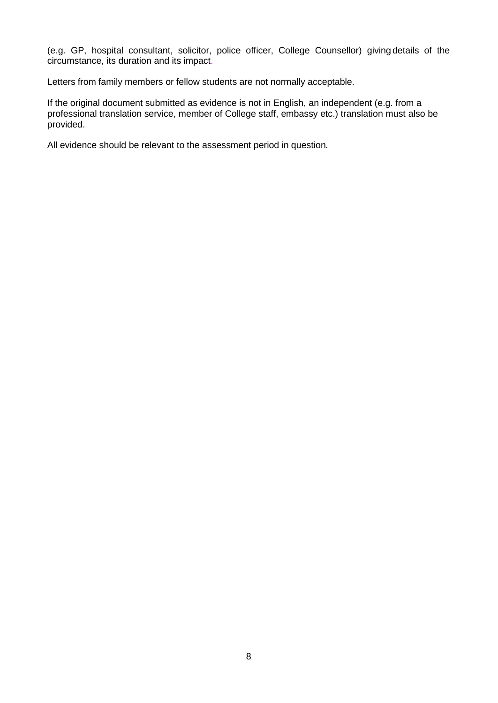(e.g. GP, hospital consultant, solicitor, police officer, College Counsellor) giving details of the circumstance, its duration and its impact.

Letters from family members or fellow students are not normally acceptable.

If the original document submitted as evidence is not in English, an independent (e.g. from a professional translation service, member of College staff, embassy etc.) translation must also be provided.

All evidence should be relevant to the assessment period in question*.*